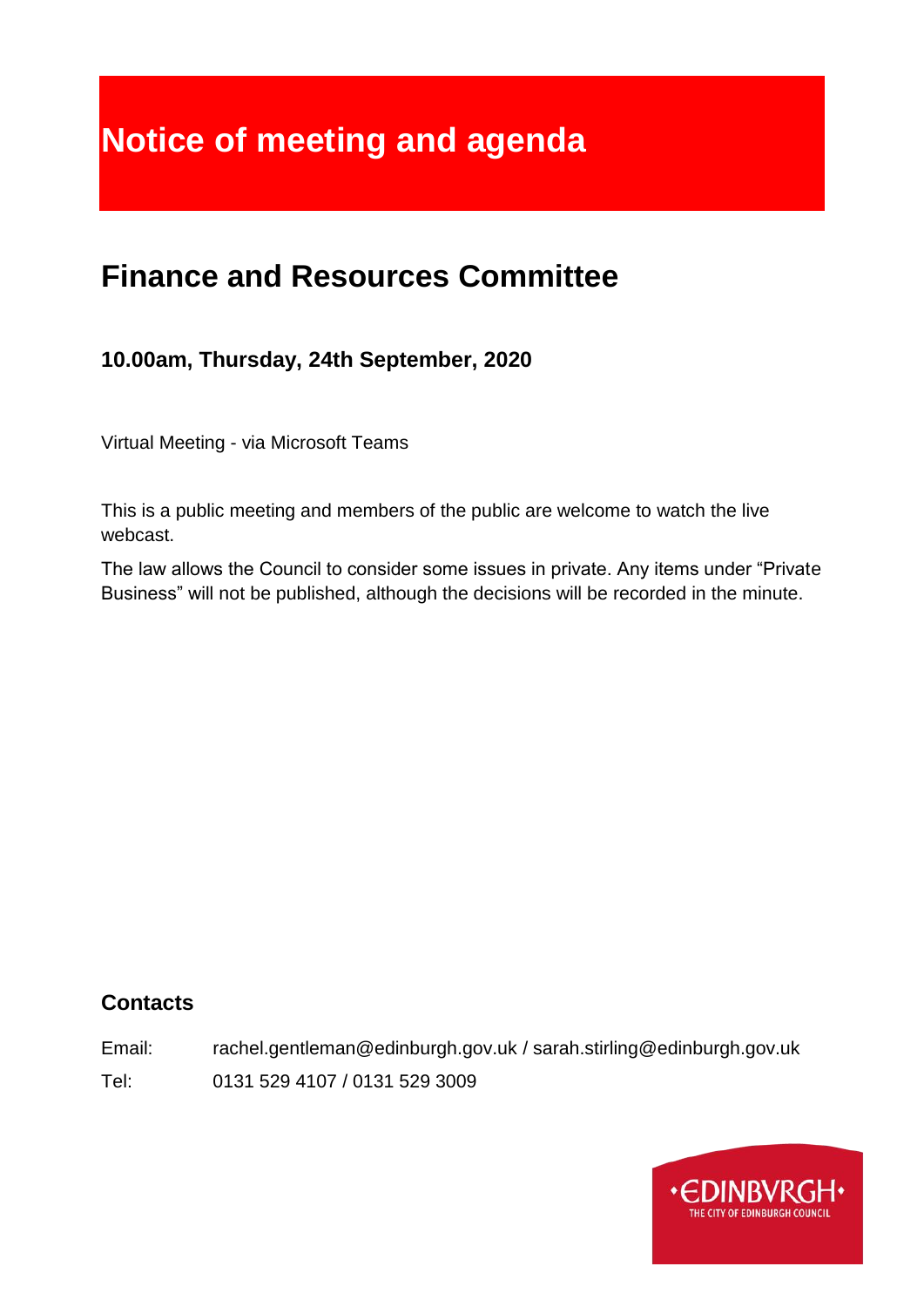# **Notice of meeting and agenda**

# **Finance and Resources Committee**

# **10.00am, Thursday, 24th September, 2020**

Virtual Meeting - via Microsoft Teams

This is a public meeting and members of the public are welcome to watch the live webcast.

The law allows the Council to consider some issues in private. Any items under "Private Business" will not be published, although the decisions will be recorded in the minute.

#### **Contacts**

Email: rachel.gentleman@edinburgh.gov.uk / sarah.stirling@edinburgh.gov.uk

Tel: 0131 529 4107 / 0131 529 3009

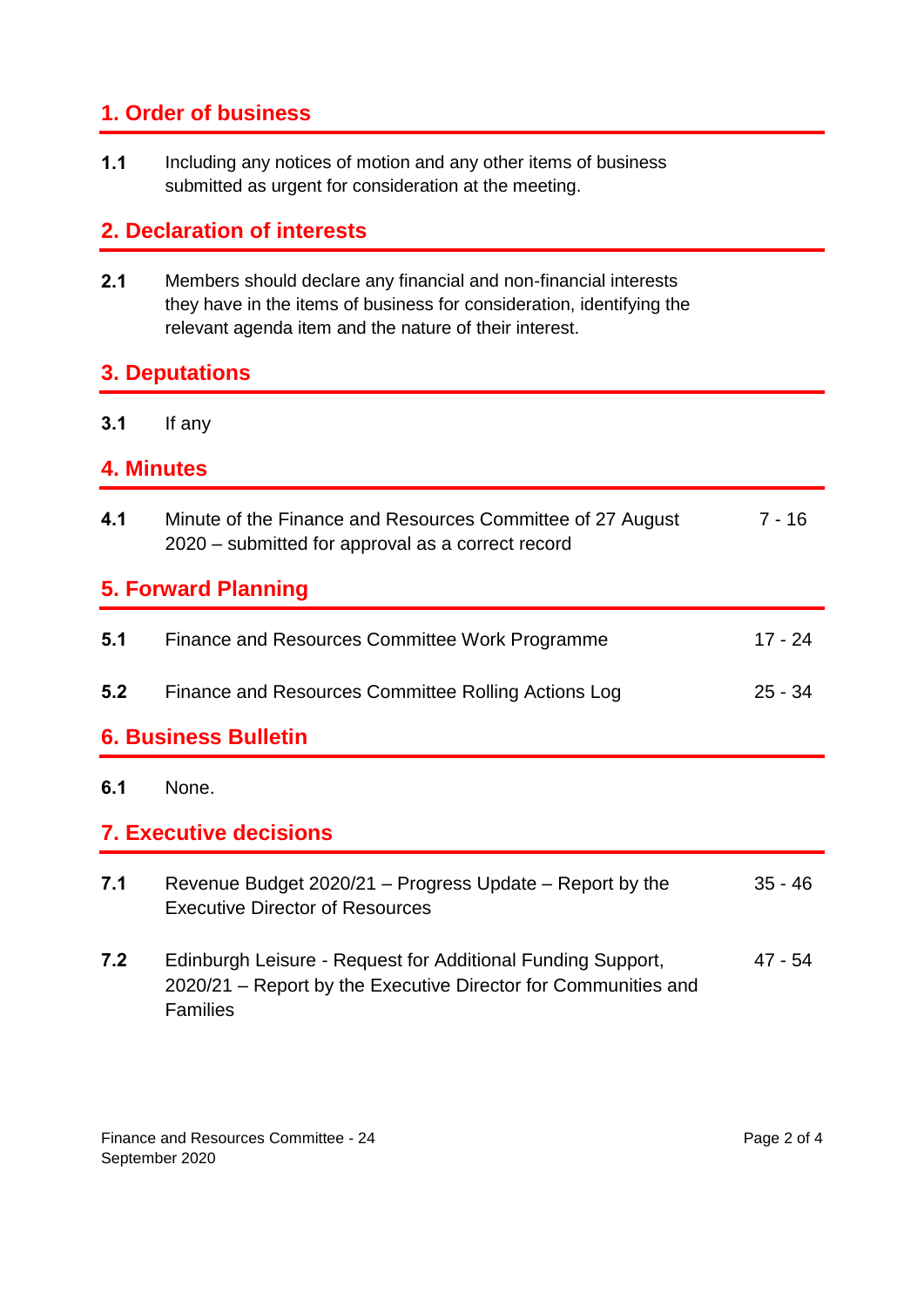## **1. Order of business**

**1.1** Including any notices of motion and any other items of business submitted as urgent for consideration at the meeting.

## **2. Declaration of interests**

**2.1** Members should declare any financial and non-financial interests they have in the items of business for consideration, identifying the relevant agenda item and the nature of their interest.

#### **3. Deputations**

**3.1** If any

#### **4. Minutes**

| 4.1                           | Minute of the Finance and Resources Committee of 27 August<br>2020 – submitted for approval as a correct record | $7 - 16$  |  |
|-------------------------------|-----------------------------------------------------------------------------------------------------------------|-----------|--|
| <b>5. Forward Planning</b>    |                                                                                                                 |           |  |
| 5.1                           | Finance and Resources Committee Work Programme                                                                  | 17 - 24   |  |
| 5.2                           | Finance and Resources Committee Rolling Actions Log                                                             | $25 - 34$ |  |
| <b>6. Business Bulletin</b>   |                                                                                                                 |           |  |
| 6.1                           | None.                                                                                                           |           |  |
| <b>7. Executive decisions</b> |                                                                                                                 |           |  |
| 7.1                           |                                                                                                                 |           |  |
|                               | Revenue Budget 2020/21 – Progress Update – Report by the<br><b>Executive Director of Resources</b>              | $35 - 46$ |  |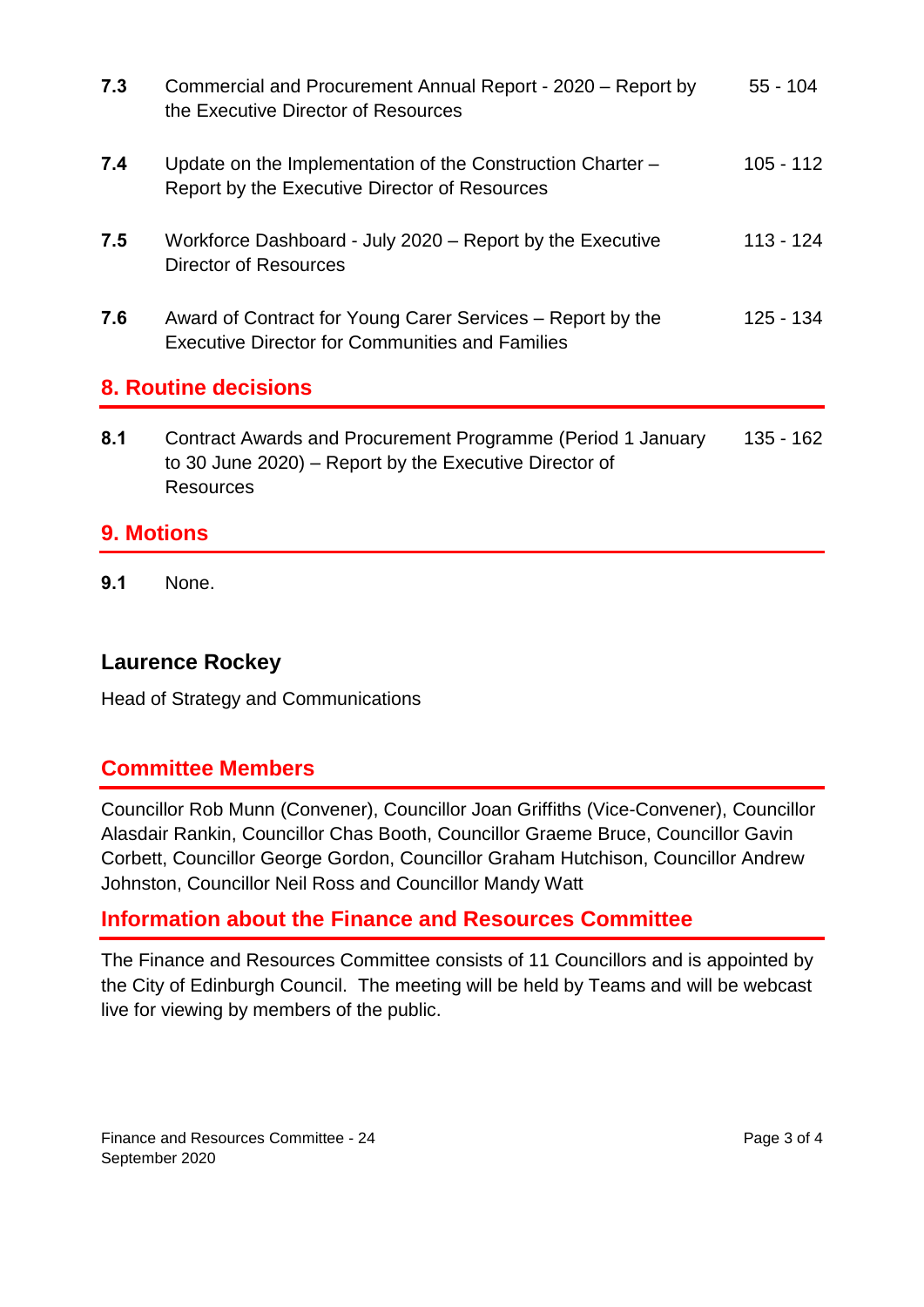| 7.3                         | Commercial and Procurement Annual Report - 2020 - Report by<br>the Executive Director of Resources                                        | $55 - 104$  |
|-----------------------------|-------------------------------------------------------------------------------------------------------------------------------------------|-------------|
| 7.4                         | Update on the Implementation of the Construction Charter -<br>Report by the Executive Director of Resources                               | $105 - 112$ |
| 7.5                         | Workforce Dashboard - July 2020 - Report by the Executive<br>Director of Resources                                                        | 113 - 124   |
| 7.6                         | Award of Contract for Young Carer Services – Report by the<br><b>Executive Director for Communities and Families</b>                      | 125 - 134   |
| <b>8. Routine decisions</b> |                                                                                                                                           |             |
| 8.1                         | Contract Awards and Procurement Programme (Period 1 January<br>to 30 June 2020) – Report by the Executive Director of<br><b>Resources</b> | 135 - 162   |
|                             |                                                                                                                                           |             |

#### **9. Motions**

**9.1** None.

## **Laurence Rockey**

Head of Strategy and Communications

#### **Committee Members**

Councillor Rob Munn (Convener), Councillor Joan Griffiths (Vice-Convener), Councillor Alasdair Rankin, Councillor Chas Booth, Councillor Graeme Bruce, Councillor Gavin Corbett, Councillor George Gordon, Councillor Graham Hutchison, Councillor Andrew Johnston, Councillor Neil Ross and Councillor Mandy Watt

#### **Information about the Finance and Resources Committee**

The Finance and Resources Committee consists of 11 Councillors and is appointed by the City of Edinburgh Council. The meeting will be held by Teams and will be webcast live for viewing by members of the public.